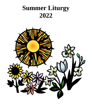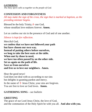#### **GATHERING**

*The Holy Spirit calls us together as the people of God.*

# **CONFESSION AND FORGIVENESS**

*All may make the sign of the cross, the sign that is marked at baptism, as the presiding minister begins.*

Blessed be the holy Trinity, $\pm$  one God, whose steadfast love endures forever. **Amen.**

Let us confess our sin in the presence of God and of one another.

# *Silence is kept for reflection.*

Merciful God, **we confess that we have not followed your path but have chosen our own way. Instead of putting others before ourselves, we long to take the best seats at the table. When met by those in need, we have too often passed by on the other side. Set us again on the path of life. Save us from ourselves and free us to love our neighbors. Amen.**

Hear the good news! God does not deal with us according to our sins but delights in granting pardon and mercy. In the name of  $\pm$  Jesus Christ, your sins are forgiven. You are free to love as God loves. **Amen.**

### **GATHERING SONG –** *see bulletin*

### **GREETING**

The grace of our Lord Jesus Christ, the love of God, and the communion of the Holy Spirit be with you all. **And also with you.**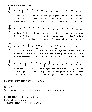

#### **PRAYER OF THE DAY –** *see bulletin*

#### **WORD**

*God speaks to us in scripture reading, preaching, and song.*

**FIRST READING –** *see bulletin* **PSALM –** *see bulletin* **SECOND READING –** *see bulletin*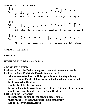

**GOSPEL –** *see bulletin*

### **SERMON**

### **HYMN OF THE DAY –** *see bulletin*

### **APOSTLES' CREED**

**I believe in God, the Father almighty, creator of heaven and earth.**

**I believe in Jesus Christ, God's only Son, our Lord,**

**who was conceived by the Holy Spirit, born of the virgin Mary, suffered under Pontius Pilate, was crucified, died, and was buried; he descended to the dead.**

**On the third day he rose again;**

**he ascended into heaven, he is seated at the right hand of the Father, and he will come to judge the living and the dead.**

**I believe in the Holy Spirit,**

**the holy catholic church, the communion of saints, the forgiveness of sins, the resurrection of the body, and the life everlasting. Amen.**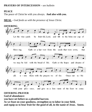# **PRAYERS OF INTERCESSION –** *see bulletin*

## **PEACE**

The peace of Christ be with you always. **And also with you.**

**MEAL -** *God feeds us with the presence of Jesus Christ.*



# **OFFERING PRAYER**

**God of abundance:**

**you have set before us a plentiful harvest.**

**As we feast on your goodness, strengthen us to labor in your field, and equip us to bear fruit for the good of all, in the name of Jesus. Amen.**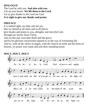# **DIALOGUE**

The Lord be with you. **And also with you.** Lift up your hearts. **We lift them to the Lord.** Let us give thanks to the Lord our God. **It is right to give our thanks and praise.**

# **PREFACE**

It is indeed right, our duty and our joy, that we should at all times and in all places give thanks and praise to you, almighty and merciful God, through our Savior Jesus Christ;

who on this day overcame death and the grave,

and by his glorious resurrection opened to us the way of everlasting life.

And so, with all the choirs of angels, with the church on earth and the hosts of heaven, we praise your name and join their unending hymn:

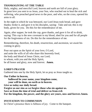# **THANKSGIVING AT THE TABLE**

Holy, mighty, and merciful Lord, heaven and earth are full of your glory. In great love you sent to us Jesus, your Son, who reached out to heal the sick and suffering, who preached good news to the poor, and who, on the cross, opened his arms to all.

In the night in which he was betrayed, our Lord Jesus took bread, and gave thanks; broke it, and gave it to his disciples, saying: Take and eat; this is my body, given for you. Do this for the remembrance of me.

Again, after supper, he took the cup, gave thanks, and gave it for all to drink, saying: This cup is the new covenant in my blood, shed for you and for all people for the forgiveness of sin. Do this for the remembrance of me.

Remembering, therefore, his death, resurrection, and ascension, we await his coming in glory.

Pour out upon us the Spirit of your love, O Lord, and unite the wills of all who share this heavenly food, the body and blood of Jesus Christ, our Lord; to whom, with you and the Holy Spirit, be all honor and glory, now and forever. **Amen.**

# **LORD'S PRAYER**

Gathered into one by the Holy Spirit, let us pray as Jesus taught us.

# **Our Father in heaven,**

**hallowed be your name, your kingdom come,**

**your will be done, on earth as in heaven.**

**Give us today our daily bread.**

**Forgive us our sins as we forgive those who sin against us.**

**Save us from the time of trial and deliver us from evil.**

**For the kingdom, the power, and the glory are yours, now and forever.Amen.**

# **INVITATION TO COMMUNION**

In Christ's presence there is fullness of joy. Come to the banquet.